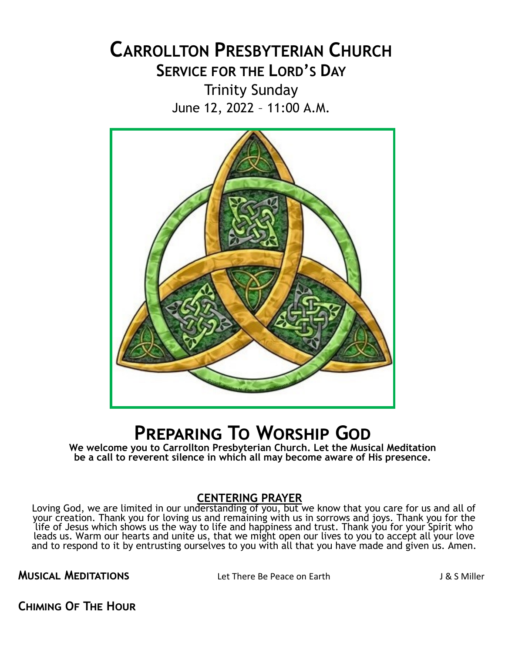# **CARROLLTON PRESBYTERIAN CHURCH SERVICE FOR THE LORD'S DAY**

Trinity Sunday June 12, 2022 – 11:00 A.M.



# **Preparing To Worship God**

**We welcome you to Carrollton Presbyterian Church. Let the Musical Meditation be a call to reverent silence in which all may become aware of His presence.**

### **CENTERING PRAYER**

Loving God, we are limited in our understanding of you, but we know that you care for us and all of your creation. Thank you for loving us and remaining with us in sorrows and joys. Thank you for the life of Jesus which shows us the way to life and happiness and trust. Thank you for your Spirit who leads us. Warm our hearts and unite us, that we might open our lives to you to accept all your love and to respond to it by entrusting ourselves to you with all that you have made and given us. Amen.

**MUSICAL MEDITATIONS** Let There Be Peace on Earth J&S Miller

**Chiming Of The Hour**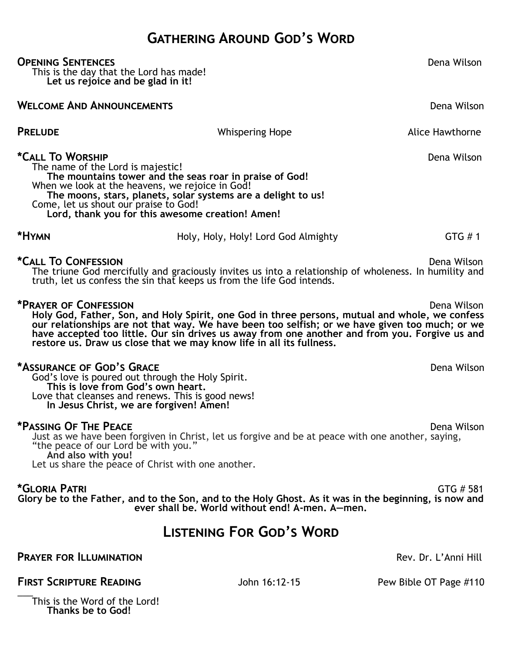# **Gathering Around God's Word**

#### **Opening Sentences** Dena Wilson

This is the day that the Lord has made! **Let us rejoice and be glad in it!**

### **WELCOME AND ANNOUNCEMENTS Dena Wilson** Dena Wilson

**PRELUDE CONSUMING THE CONSUMING WHISPERING HOPE Alice Hawthorne** 

**\*Call To Worship**   $\bullet$  **Call To Worship**   $\bullet$  **Dena Wilson** The name of the Lord is majestic! **The mountains tower and the seas roar in praise of God!** When we look at the heavens, we rejoice in God! **The moons, stars, planets, solar systems are a delight to us!** Come, let us shout our praise to God! **Lord, thank you for this awesome creation! Amen!**

**\*Hymn** Holy, Holy, Holy! Lord God Almighty GTG # 1

#### **\*Call To Confession** Dena Wilson

The triune God mercifully and graciously invites us into a relationship of wholeness. In humility and truth, let us confess the sin that keeps us from the life God intends.

#### **\*Prayer of Confession** Dena Wilson

**Holy God, Father, Son, and Holy Spirit, one God in three persons, mutual and whole, we confess our relationships are not that way. We have been too selfish; or we have given too much; or we have accepted too little. Our sin drives us away from one another and from you. Forgive us and restore us. Draw us close that we may know life in all its fullness.** 

#### **\*Assurance of God's Grace** Dena Wilson

God's love is poured out through the Holy Spirit. **This is love from God's own heart.** Love that cleanses and renews. This is good news! **In Jesus Christ, we are forgiven! Amen!**

#### **\*Passing Of The Peace** Dena Wilson

Just as we have been forgiven in Christ, let us forgive and be at peace with one another, saying, "the peace of our Lord be with you." **And also with you!**

Let us share the peace of Christ with one another.

**\*Gloria Patri** GTG # 581 **Glory be to the Father, and to the Son, and to the Holy Ghost. As it was in the beginning, is now and ever shall be. World without end! A-men. A—men.**

# **Listening For God's Word**

### **PRAYER FOR ILLUMINATION Rev. Dr. L'Anni Hill**

**FIRST SCRIPTURE READING** John 16:12-15 Pew Bible OT Page #110

 $\overline{\phantom{a}}$ This is the Word of the Lord! **Thanks be to God!**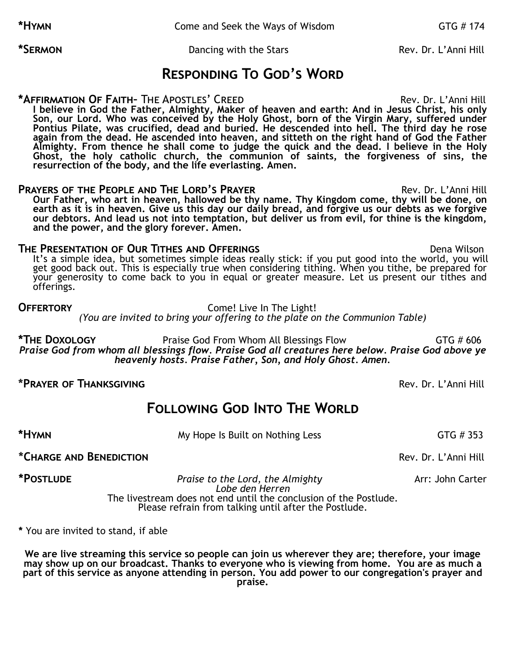**\*Hymn** Come and Seek the Ways of Wisdom GTG # 174

\*SERMON **Dancing with the Stars Rev. Dr. L'Anni Hill** 

## **Responding To God's Word**

**\*Affirmation Of Faith–** The Apostles' Creed Rev. Dr. L'Anni Hill **I believe in God the Father, Almighty, Maker of heaven and earth: And in Jesus Christ, his only Son, our Lord. Who was conceived by the Holy Ghost, born of the Virgin Mary, suffered under Pontius Pilate, was crucified, dead and buried. He descended into hell. The third day he rose again from the dead. He ascended into heaven, and sitteth on the right hand of God the Father Almighty. From thence he shall come to judge the quick and the dead. I believe in the Holy Ghost, the holy catholic church, the communion of saints, the forgiveness of sins, the resurrection of the body, and the life everlasting. Amen.**

**PRAYERS OF THE PEOPLE AND THE LORD'S PRAYER <b>EXAMPLE 2008** Rev. Dr. L'Anni Hill **Our Father, who art in heaven, hallowed be thy name. Thy Kingdom come, thy will be done, on earth as it is in heaven. Give us this day our daily bread, and forgive us our debts as we forgive our debtors. And lead us not into temptation, but deliver us from evil, for thine is the kingdom, and the power, and the glory forever. Amen.**

#### **The Presentation of Our Tithes and Offerings** Dena Wilson

It's a simple idea, but sometimes simple ideas really stick: if you put good into the world, you will get good back out. This is especially true when considering tithing. When you tithe, be prepared for your generosity to come back to you in equal or greater measure. Let us present our tithes and offerings.

#### **OFFERTORY** Come! Live In The Light! *(You are invited to bring your offering to the plate on the Communion Table)*

**\*The Doxology** Praise God From Whom All Blessings Flow GTG # 606 *Praise God from whom all blessings flow. Praise God all creatures here below. Praise God above ye heavenly hosts. Praise Father, Son, and Holy Ghost. Amen.*

#### **\*Prayer of Thanksgiving** Rev. Dr. L'Anni Hill

# **Following God Into The World**

**\*HYMN COVERGITS My Hope Is Built on Nothing Less GTG # 353** 

**\*Charge and Benediction** Rev. Dr. L'Anni Hill

**\*Postlude** *Praise to the Lord, the Almighty* Arr: John Carter *Lobe den Herren* The livestream does not end until the conclusion of the Postlude. Please refrain from talking until after the Postlude.

**\*** You are invited to stand, if able

**We are live streaming this service so people can join us wherever they are; therefore, your image may show up on our broadcast. Thanks to everyone who is viewing from home. You are as much a part of this service as anyone attending in person. You add power to our congregation's prayer and praise.**